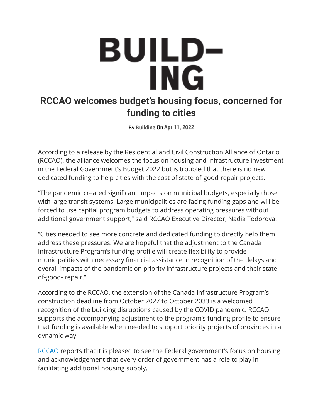## **BUILD-ING**

## **RCCAO welcomes budget's housing focus, concerned for funding to cities**

By **Building** On **Apr 11, 2022**

According to a release by the Residential and Civil Construction Alliance of Ontario (RCCAO), the alliance welcomes the focus on housing and infrastructure investment in the Federal Government's Budget 2022 but is troubled that there is no new dedicated funding to help cities with the cost of state-of-good-repair projects.

"The pandemic created significant impacts on municipal budgets, especially those with large transit systems. Large municipalities are facing funding gaps and will be forced to use capital program budgets to address operating pressures without additional government support," said RCCAO Executive Director, Nadia Todorova.

"Cities needed to see more concrete and dedicated funding to directly help them address these pressures. We are hopeful that the adjustment to the Canada Infrastructure Program's funding profile will create flexibility to provide municipalities with necessary financial assistance in recognition of the delays and overall impacts of the pandemic on priority infrastructure projects and their stateof-good- repair."

According to the RCCAO, the extension of the Canada Infrastructure Program's construction deadline from October 2027 to October 2033 is a welcomed recognition of the building disruptions caused by the COVID pandemic. RCCAO supports the accompanying adjustment to the program's funding profile to ensure that funding is available when needed to support priority projects of provinces in a dynamic way.

[RCCAO](https://rccao.com/) reports that it is pleased to see the Federal government's focus on housing and acknowledgement that every order of government has a role to play in facilitating additional housing supply.